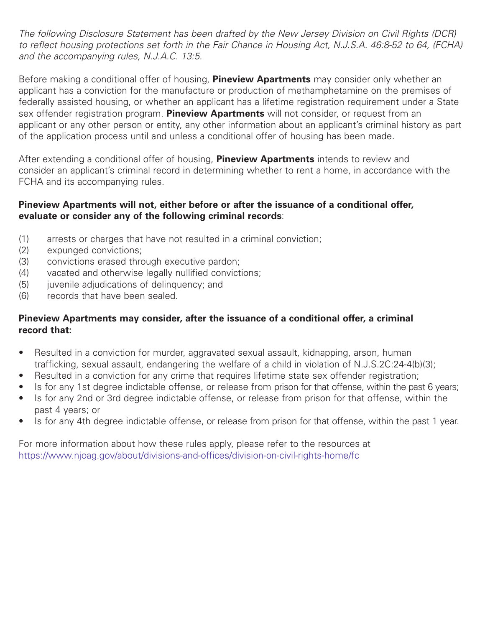*The following Disclosure Statement has been drafted by the New Jersey Division on Civil Rights (DCR)* to reflect housing protections set forth in the Fair Chance in Housing Act, N.J.S.A. 46:8-52 to 64, (FCHA) *and the accompanying rules, N.J.A.C. 13:5.*

Before making a conditional offer of housing, **Pineview Apartments** may consider only whether an applicant has a conviction for the manufacture or production of methamphetamine on the premises of federally assisted housing, or whether an applicant has a lifetime registration requirement under a State sex offender registration program. **Pineview Apartments** will not consider, or request from an applicant or any other person or entity, any other information about an applicant's criminal history as part of the application process until and unless a conditional offer of housing has been made.

After extending a conditional offer of housing, **Pineview Apartments** intends to review and consider an applicant's criminal record in determining whether to rent a home, in accordance with the FCHA and its accompanying rules.

## **Pineview Apartments will not, either before or after the issuance of a conditional offer, evaluate or consider any of the following criminal records**:

- (1) arrests or charges that have not resulted in a criminal conviction;
- (2) expunged convictions;
- (3) convictions erased through executive pardon;
- (4) vacated and otherwise legally nullified convictions;
- (5) juvenile adjudications of delinguency; and
- (6) records that have been sealed.

### **Pineview Apartments may consider, after the issuance of a conditional offer, a criminal record that:**

- Resulted in a conviction for murder, aggravated sexual assault, kidnapping, arson, human trafficking, sexual assault, endangering the welfare of a child in violation of N.J.S.2C:24-4(b)(3);
- Resulted in a conviction for any crime that requires lifetime state sex offender registration;
- Is for any 1st degree indictable offense, or release from prison for that offense, within the past 6 years;
- Is for any 2nd or 3rd degree indictable offense, or release from prison for that offense, within the past 4 years; or
- Is for any 4th degree indictable offense, or release from prison for that offense, within the past 1 year.

For more information about how these rules apply, please refer to the resources at https://www.njoag.gov/about/divisions-and-offices/division-on-civil-rights-home/fc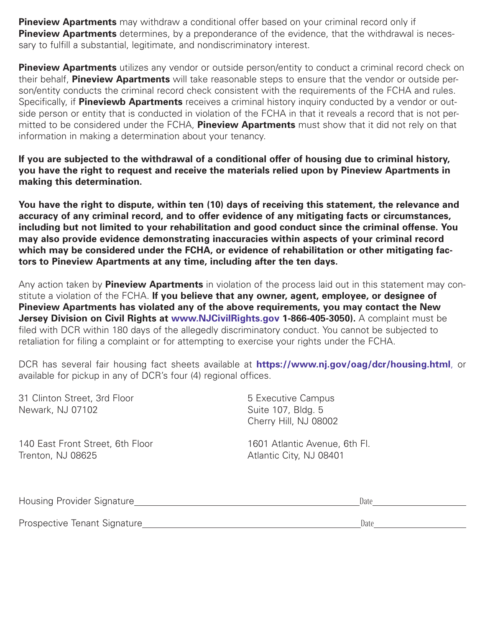**Pineview Apartments** may withdraw a conditional offer based on your criminal record only if **Pineview Apartments** determines, by a preponderance of the evidence, that the withdrawal is necessary to fulfill a substantial, legitimate, and nondiscriminatory interest.

**Pineview Apartments** utilizes any vendor or outside person/entity to conduct a criminal record check on their behalf, **Pineview Apartments** will take reasonable steps to ensure that the vendor or outside person/entity conducts the criminal record check consistent with the requirements of the FCHA and rules. Specifically, if **Pineviewb Apartments** receives a criminal history inquiry conducted by a vendor or outside person or entity that is conducted in violation of the FCHA in that it reveals a record that is not permitted to be considered under the FCHA, **Pineview Apartments** must show that it did not rely on that information in making a determination about your tenancy.

**If you are subjected to the withdrawal of a conditional offer of housing due to criminal history, you have the right to request and receive the materials relied upon by Pineview Apartments in making this determination.**

**You have the right to dispute, within ten (10) days of receiving this statement, the relevance and accuracy of any criminal record, and to offer evidence of any mitigating facts or circumstances, including but not limited to your rehabilitation and good conduct since the criminal offense. You may also provide evidence demonstrating inaccuracies within aspects of your criminal record which may be considered under the FCHA, or evidence of rehabilitation or other mitigating factors to Pineview Apartments at any time, including after the ten days.**

Any action taken by **Pineview Apartments** in violation of the process laid out in this statement may constitute a violation of the FCHA. **If you believe that any owner, agent, employee, or designee of Pineview Apartments has violated any of the above requirements, you may contact the New Jersey Division on Civil Rights at www.NJCivilRights.gov 1-866-405-3050).** A complaint must be filed with DCR within 180 days of the allegedly discriminatory conduct. You cannot be subjected to retaliation for filing a complaint or for attempting to exercise your rights under the FCHA.

DCR has several fair housing fact sheets available at **https://www.nj.gov/oag/dcr/housing.html**, or available for pickup in any of DCR's four (4) regional offices.

| 31 Clinton Street, 3rd Floor<br>Newark, NJ 07102 | 5 Executive Campus<br>Suite 107, Bldg. 5<br>Cherry Hill, NJ 08002 |
|--------------------------------------------------|-------------------------------------------------------------------|
| 140 East Front Street, 6th Floor                 | 1601 Atlantic Avenue, 6th Fl.                                     |
| Trenton, NJ 08625                                | Atlantic City, NJ 08401                                           |

| Housing Provider Signature   | Date |
|------------------------------|------|
|                              |      |
| Prospective Tenant Signature | Date |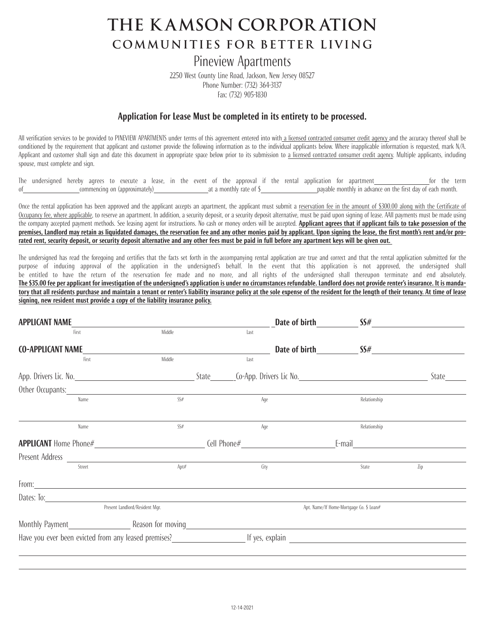# **the K AMSON CORPOR ATION COMMUNITIES FOR BETTER LIVING**

# Pineview Apartments

2250 West County Line Road, Jackson, New Jersey 08527 Phone Number: (732) 364-3137 Fax: (732) 905-1830

#### **Application For Lease Must be completed in its entirety to be processed.**

All verification services to be provided to PINEVIEW APARTMENTS under terms of this agreement entered into with a licensed contracted consumer credit agency and the accuracy thereof shall be conditioned by the requirement that applicant and customer provide the following information as to the individual applicants below. Where inapplicable information is requested, mark N/A. Applicant and customer shall sign and date this document in appropriate space below prior to its submission to a licensed contracted consumer credit agency. Multiple applicants, including spouse, must complete and sign.

The undersigned hereby agrees to execute a lease, in the event of the approval if the rental application for apartment for the term commencing on (approximately) at a monthly rate of \$ payable monthly in advance on the first day of each month.

Once the rental application has been approved and the applicant accepts an apartment, the applicant must submit a reservation fee in the amount of \$300.00 along with the Certificate of Occupancy fee, where applicable, to reserve an apartment. In addition, a security deposit, or a security deposit alternative, must be paid upon signing of lease. AAll payments must be made using the company accepted payment methods. See leasing agent for instructions. No cash or money orders will be accepted. Applicant agrees that if applicant fails to take possession of the premises. Landlord may retain as liquidated damages, the reservation fee and any other monies paid by applicant. Upon signing the lease, the first month's rent and/or prorated rent, security deposit, or security deposit alternative and any other fees must be paid in full before any apartment keys will be given out.

The undersigned has read the foregoing and certifies that the facts set forth in the accompanying rental application are true and correct and that the rental application submitted for the purpose of inducing approval of the application in the undersigned's behalf. In the event that this application is not approved, the undersigned shall be entitled to have the return of the reservation fee made and no more, and all rights of the undersigned shall thereupon terminate and end absolutely. The \$35.00 fee per applicant for investigation of the undersigned's application is under no circumstances refundable. Landlord does not provide renter's insurance. It is mandatory that all residents purchase and maintain a tenant or renter's liability insurance policy at the sole expense of the resident for the length of their tenancy. At time of lease **signing, new resident must provide a copy of the liability insurance policy.**

| <b>APPLICANT NAME</b>    |                                                                                                                                                                                                                                        |        |      |      | Date of birth SS#                       |       |
|--------------------------|----------------------------------------------------------------------------------------------------------------------------------------------------------------------------------------------------------------------------------------|--------|------|------|-----------------------------------------|-------|
|                          | First                                                                                                                                                                                                                                  | Middle | last |      |                                         |       |
| <b>CO-APPLICANT NAME</b> |                                                                                                                                                                                                                                        |        |      |      | Date of birth $SS#$                     |       |
|                          | First                                                                                                                                                                                                                                  | Middle | Last |      |                                         |       |
|                          |                                                                                                                                                                                                                                        |        |      |      |                                         | State |
|                          | Other Occupants: University of the Contract of the Contract of the Contract of the Contract of the Contract of the Contract of the Contract of the Contract of the Contract of the Contract of the Contract of the Contract of         |        |      |      |                                         |       |
|                          | Name                                                                                                                                                                                                                                   | SS#    |      | Age  | Relationship                            |       |
|                          |                                                                                                                                                                                                                                        |        |      |      |                                         |       |
|                          | Name                                                                                                                                                                                                                                   | SS#    |      | Age  | Relationship                            |       |
|                          |                                                                                                                                                                                                                                        |        |      |      |                                         |       |
|                          |                                                                                                                                                                                                                                        |        |      |      |                                         |       |
|                          | Street                                                                                                                                                                                                                                 | Apt#   |      | City | State                                   | Zip   |
|                          | From: <u>contract the contract of the contract of the contract of the contract of the contract of the contract of the contract of the contract of the contract of the contract of the contract of the contract of the contract o</u>   |        |      |      |                                         |       |
|                          | Dates: To: experience and the contract of the contract of the contract of the contract of the contract of the contract of the contract of the contract of the contract of the contract of the contract of the contract of the          |        |      |      |                                         |       |
|                          | Present Landlord/Resident Mgr.                                                                                                                                                                                                         |        |      |      | Apt. Name/If Home-Mortgage Co. \$ Loan# |       |
|                          |                                                                                                                                                                                                                                        |        |      |      |                                         |       |
|                          | Have you ever been evicted from any leased premises?<br><u>Let yes</u> , explain entity and the contract the contract the contract the contract of the contract of the contract the contract of the contract of the contract of the co |        |      |      |                                         |       |
|                          |                                                                                                                                                                                                                                        |        |      |      |                                         |       |
|                          |                                                                                                                                                                                                                                        |        |      |      |                                         |       |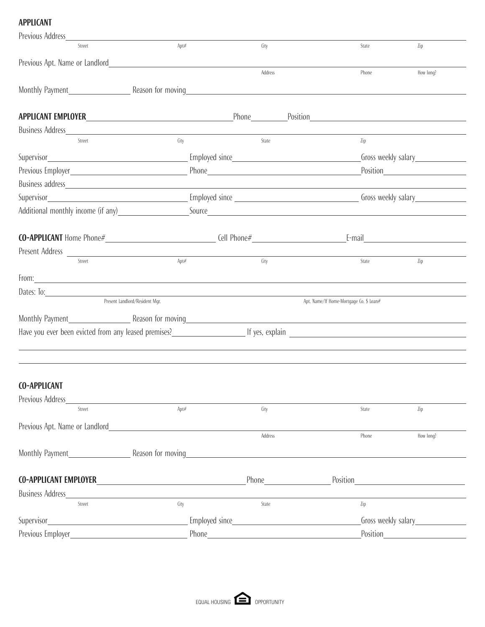# **APPLICANT**

| Previous Address                                                               |                                                     |                                                                                                                                                                                                                                      |                                                                                                                |                     |
|--------------------------------------------------------------------------------|-----------------------------------------------------|--------------------------------------------------------------------------------------------------------------------------------------------------------------------------------------------------------------------------------------|----------------------------------------------------------------------------------------------------------------|---------------------|
| Street                                                                         | Apt#                                                | City                                                                                                                                                                                                                                 | State                                                                                                          | Zip                 |
|                                                                                | Previous Apt. Name or Landlord <b>Exercise 2018</b> |                                                                                                                                                                                                                                      |                                                                                                                |                     |
|                                                                                |                                                     | Address                                                                                                                                                                                                                              | Phone                                                                                                          | How long?           |
|                                                                                |                                                     | Monthly Payment <b>Example 2018</b> Reason for moving                                                                                                                                                                                |                                                                                                                |                     |
|                                                                                |                                                     |                                                                                                                                                                                                                                      | Phone Position Position Position Provides Providence Position Providence Providence Providence Providence Prov |                     |
| Business Address <b>Exercísion Exercísion Exercísion Exercísion Exercísion</b> |                                                     |                                                                                                                                                                                                                                      |                                                                                                                |                     |
| Street                                                                         | City                                                | State                                                                                                                                                                                                                                | Zip                                                                                                            |                     |
|                                                                                |                                                     |                                                                                                                                                                                                                                      |                                                                                                                | Gross weekly salary |
|                                                                                |                                                     |                                                                                                                                                                                                                                      |                                                                                                                |                     |
|                                                                                |                                                     |                                                                                                                                                                                                                                      |                                                                                                                |                     |
|                                                                                |                                                     |                                                                                                                                                                                                                                      |                                                                                                                |                     |
|                                                                                |                                                     |                                                                                                                                                                                                                                      |                                                                                                                |                     |
|                                                                                |                                                     |                                                                                                                                                                                                                                      |                                                                                                                |                     |
| Present Address                                                                |                                                     |                                                                                                                                                                                                                                      |                                                                                                                |                     |
| Street                                                                         | Apt#                                                | City                                                                                                                                                                                                                                 | State                                                                                                          | Zip                 |
|                                                                                |                                                     | From: <u>contract the contract of the contract of the contract of the contract of the contract of the contract of the contract of the contract of the contract of the contract of the contract of the contract of the contract o</u> |                                                                                                                |                     |
|                                                                                |                                                     |                                                                                                                                                                                                                                      |                                                                                                                |                     |
|                                                                                | Present Landlord/Resident Mgr.                      |                                                                                                                                                                                                                                      | Apt. Name/If Home-Mortgage Co. \$ Loan#                                                                        |                     |
|                                                                                |                                                     |                                                                                                                                                                                                                                      |                                                                                                                |                     |
|                                                                                |                                                     | Have you ever been evicted from any leased premises?<br><u>Letter and the second of yes, explain and the manus and the second of the second of the second of the second</u>                                                          |                                                                                                                |                     |
|                                                                                |                                                     |                                                                                                                                                                                                                                      |                                                                                                                |                     |
|                                                                                |                                                     |                                                                                                                                                                                                                                      |                                                                                                                |                     |
|                                                                                |                                                     |                                                                                                                                                                                                                                      |                                                                                                                |                     |
| <b>CO-APPLICANT</b>                                                            |                                                     |                                                                                                                                                                                                                                      |                                                                                                                |                     |
| Previous Address<br>Street                                                     | Apt#                                                | City                                                                                                                                                                                                                                 | State                                                                                                          | Zip                 |
|                                                                                |                                                     |                                                                                                                                                                                                                                      |                                                                                                                |                     |
| Previous Apt. Name or Landlord                                                 |                                                     | Address                                                                                                                                                                                                                              | Phone                                                                                                          | How long?           |
|                                                                                |                                                     |                                                                                                                                                                                                                                      |                                                                                                                |                     |
|                                                                                |                                                     |                                                                                                                                                                                                                                      |                                                                                                                |                     |
|                                                                                |                                                     |                                                                                                                                                                                                                                      |                                                                                                                |                     |
| <b>Business Address</b>                                                        |                                                     |                                                                                                                                                                                                                                      |                                                                                                                |                     |
| Street                                                                         | City                                                | State                                                                                                                                                                                                                                | Zip                                                                                                            |                     |
|                                                                                |                                                     | Employed since <b>Employed</b> Since                                                                                                                                                                                                 |                                                                                                                |                     |
| Previous Employer_                                                             |                                                     |                                                                                                                                                                                                                                      | Position_                                                                                                      |                     |